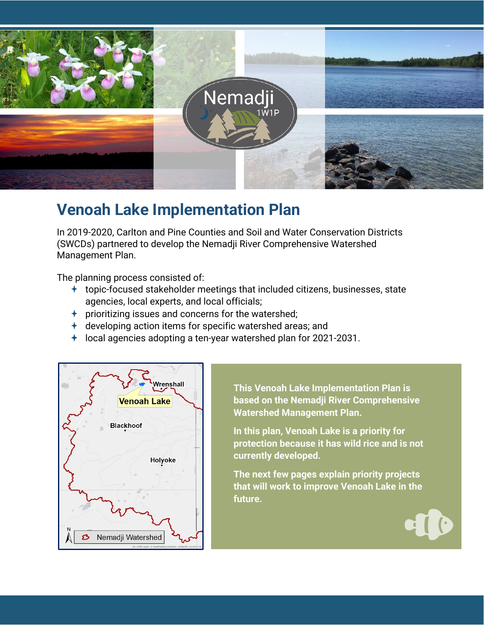

# **Venoah Lake Implementation Plan**

In 2019-2020, Carlton and Pine Counties and Soil and Water Conservation Districts (SWCDs) partnered to develop the Nemadji River Comprehensive Watershed Management Plan.

The planning process consisted of:

- $\pm$  topic-focused stakeholder meetings that included citizens, businesses, state agencies, local experts, and local officials;
- $\rightarrow$  prioritizing issues and concerns for the watershed;
- $\pm$  developing action items for specific watershed areas; and
- $\pm$  local agencies adopting a ten-year watershed plan for 2021-2031.



**This Venoah Lake Implementation Plan is based on the Nemadji River Comprehensive Watershed Management Plan.** 

**In this plan, Venoah Lake is a priority for protection because it has wild rice and is not currently developed.** 

**The next few pages explain priority projects that will work to improve Venoah Lake in the future.**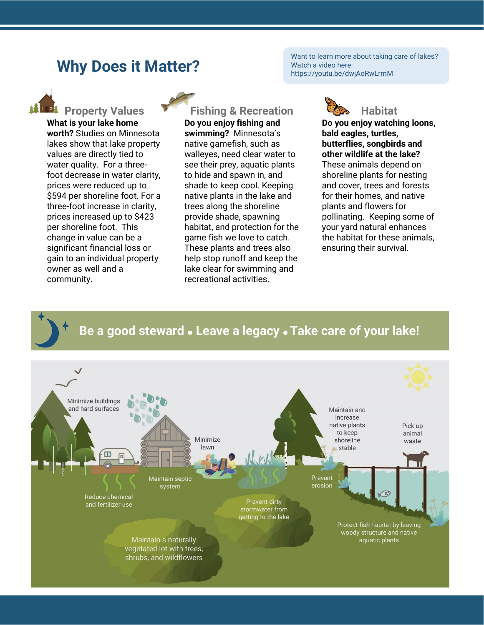## **Why Does it Matter?**

Want to learn more about taking care of lakes? Watch a video here: https://youtu.be/dwjAoRwLrmM



**What is your lake home worth?** Studies on Minnesota lakes show that lake property values are directly tied to water quality. For a threefoot decrease in water clarity, prices were reduced up to \$594 per shoreline foot. For a three-foot increase in clarity, prices increased up to \$423 per shoreline foot. This change in value can be a significant financial loss or gain to an individual property owner as well and a community.

## **PROPERTY Values Property Values Property Values Fishing & Recreation CONS** Habitat

**Do you enjoy fishing and swimming?** Minnesota's native gamefish, such as walleyes, need clear water to see their prey, aquatic plants to hide and spawn in, and shade to keep cool. Keeping native plants in the lake and trees along the shoreline provide shade, spawning habitat, and protection for the game fish we love to catch. These plants and trees also help stop runoff and keep the lake clear for swimming and recreational activities.



**Do you enjoy watching loons, bald eagles, turtles, butterflies, songbirds and other wildlife at the lake?**  These animals depend on shoreline plants for nesting and cover, trees and forests for their homes, and native plants and flowers for pollinating. Keeping some of your yard natural enhances the habitat for these animals, ensuring their survival.

### **Be a good steward Leave a legacy Take care of your lake!**

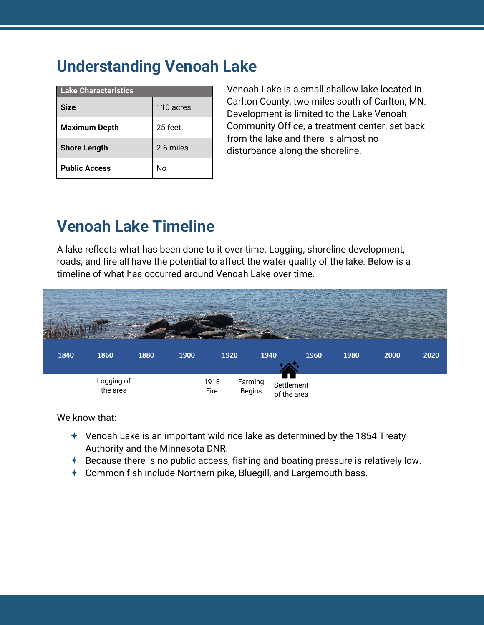# **Understanding Venoah Lake**

| <b>Lake Characteristics</b> |           |  |  |  |
|-----------------------------|-----------|--|--|--|
| <b>Size</b>                 | 110 acres |  |  |  |
| <b>Maximum Depth</b>        | 25 feet   |  |  |  |
| <b>Shore Length</b>         | 2.6 miles |  |  |  |
| <b>Public Access</b>        | N٥        |  |  |  |

Venoah Lake is a small shallow lake located in Carlton County, two miles south of Carlton, MN. Development is limited to the Lake Venoah Community Office, a treatment center, set back from the lake and there is almost no disturbance along the shoreline.

# **Venoah Lake Timeline**

A lake reflects what has been done to it over time. Logging, shoreline development, roads, and fire all have the potential to affect the water quality of the lake. Below is a timeline of what has occurred around Venoah Lake over time.



We know that:

- Venoah Lake is an important wild rice lake as determined by the 1854 Treaty Authority and the Minnesota DNR.
- $\pm$  Because there is no public access, fishing and boating pressure is relatively low.
- Common fish include Northern pike, Bluegill, and Largemouth bass.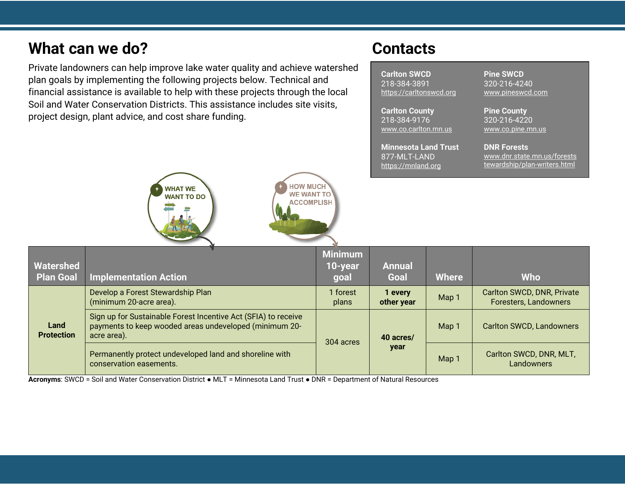# **What can we do?** Contacts

Private landowners can help improve lake water quality and achieve watershed plan goals by implementing the following projects below. Technical and financial assistance is available to help with these projects through the local Soil and Water Conservation Districts. This assistance includes site visits, project design, plant advice, and cost share funding.

**Carlton SWCD** 218-384-3891 [https://carltonswcd.org](https://carltonswcd.org/)

**Carlton County** 218-384-9176 [www.co.carlton.mn.us](https://www.co.carlton.mn.us/)

**Minnesota Land Trust** 877-MLT-LAND [https://mnland.org](https://mnland.org/)

**Pine SWCD** 320-216-4240 [www.pineswcd.com](https://www.pineswcd.com/)

**Pine County** 320-216-4220 [www.co.pine.mn.us](https://www.co.pine.mn.us/)

**DNR Forests** [www.dnr.state.mn.us/forests](http://www.dnr.state.mn.us/foreststewardship/plan-writers.html) [tewardship/plan-writers.html](http://www.dnr.state.mn.us/foreststewardship/plan-writers.html)



| Watershed<br><b>Plan Goal</b> | <b>Implementation Action</b>                                                                                                            | <b>Minimum</b><br>10-year<br>goal | <b>Annual</b><br>Goal | <b>Where</b> | <b>Who</b>                                          |
|-------------------------------|-----------------------------------------------------------------------------------------------------------------------------------------|-----------------------------------|-----------------------|--------------|-----------------------------------------------------|
| Land<br><b>Protection</b>     | Develop a Forest Stewardship Plan<br>(minimum 20-acre area).                                                                            | I forest<br>plans                 | 1 every<br>other year | Map 1        | Carlton SWCD, DNR, Private<br>Foresters, Landowners |
|                               | Sign up for Sustainable Forest Incentive Act (SFIA) to receive<br>payments to keep wooded areas undeveloped (minimum 20-<br>acre area). | 304 acres                         | 40 acres/<br>year     | Map 1        | <b>Carlton SWCD, Landowners</b>                     |
|                               | Permanently protect undeveloped land and shoreline with<br>conservation easements.                                                      |                                   |                       | Map 1        | Carlton SWCD, DNR, MLT,<br>Landowners               |

**Acronyms**: SWCD = Soil and Water Conservation District ● MLT = Minnesota Land Trust ● DNR = Department of Natural Resources